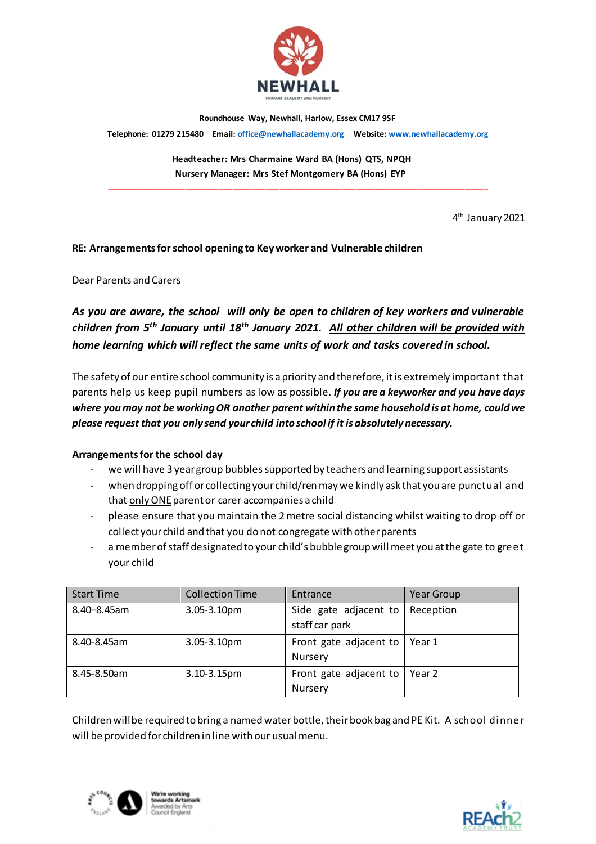

**Roundhouse Way, Newhall, Harlow, Essex CM17 9SF** 

**Telephone: 01279 215480 Email[: office@newhallacademy.org](mailto:office@newhallacademy.org) Website: www.newhallacademy.org** 

 **Headteacher: Mrs Charmaine Ward BA (Hons) QTS, NPQH Nursery Manager: Mrs Stef Montgomery BA (Hons) EYP**

**\_\_\_\_\_\_\_\_\_\_\_\_\_\_\_\_\_\_\_\_\_\_\_\_\_\_\_\_\_\_\_\_\_\_\_\_\_\_\_\_\_\_\_\_\_\_\_\_\_\_\_\_\_\_\_\_\_\_\_\_\_\_\_\_\_\_\_\_\_\_\_\_\_\_\_\_\_\_\_\_\_**

4 th January 2021

# **RE: Arrangements for school opening to Key worker and Vulnerable children**

Dear Parents and Carers

*As you are aware, the school will only be open to children of key workers and vulnerable children from 5th January until 18th January 2021. All other children will be provided with home learning which will reflect the same units of work and tasks covered in school.*

The safety of our entire school community is apriority and therefore, it is extremely important that parents help us keep pupil numbers as low as possible. *If you are a keyworker and you have days where you may not be working OR another parent within the same household is at home, could we please request that you only send your child into school if it is absolutely necessary.*

# **Arrangements for the school day**

- we will have 3 year group bubblessupported by teachers and learning support assistants
- when dropping off or collecting your child/ren may we kindly ask that you are punctual and that only ONE parent or carer accompanies a child
- please ensure that you maintain the 2 metre social distancing whilst waiting to drop off or collect your child and that you do not congregate with other parents
- a member of staff designated to your child's bubble group will meet you at the gate to greet your child

| <b>Start Time</b> | <b>Collection Time</b> | Entrance                                | <b>Year Group</b> |
|-------------------|------------------------|-----------------------------------------|-------------------|
| 8.40-8.45am       | 3.05-3.10pm            | Side gate adjacent to<br>staff car park | Reception         |
|                   |                        |                                         |                   |
| 8.40-8.45am       | $3.05 - 3.10pm$        | Front gate adjacent to                  | Year 1            |
|                   |                        | Nursery                                 |                   |
| 8.45-8.50am       | 3.10-3.15pm            | Front gate adjacent to                  | Year 2            |
|                   |                        | <b>Nursery</b>                          |                   |

Children will be required to bring a named water bottle, their book bag and PE Kit. A school dinner will be provided for children in line with our usual menu.



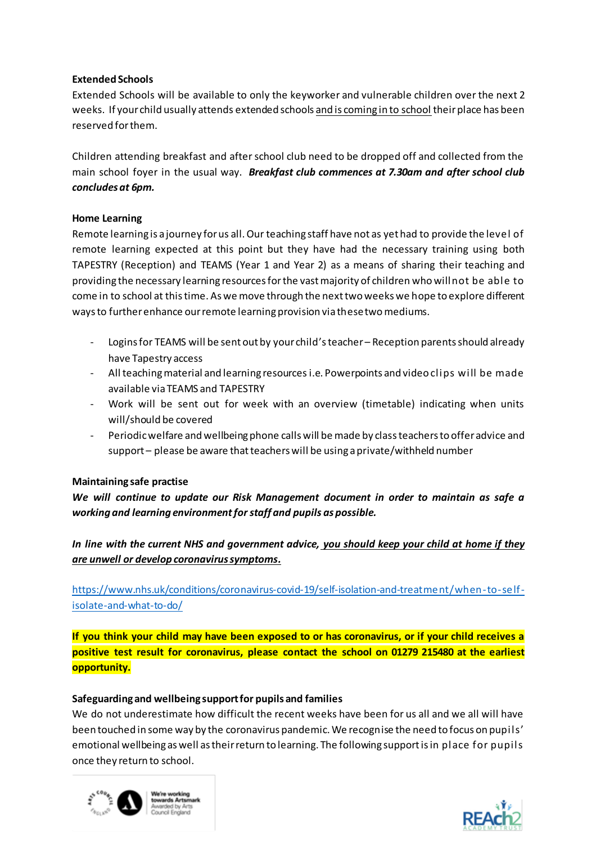# **Extended Schools**

Extended Schools will be available to only the keyworker and vulnerable children over the next 2 weeks. If your child usually attends extended schools and is coming in to school their place has been reserved for them.

Children attending breakfast and after school club need to be dropped off and collected from the main school foyer in the usual way. *Breakfast club commences at 7.30am and after school club concludes at 6pm.*

# **Home Learning**

Remote learning is a journey for us all. Our teaching staff have not as yet had to provide the level of remote learning expected at this point but they have had the necessary training using both TAPESTRY (Reception) and TEAMS (Year 1 and Year 2) as a means of sharing their teaching and providing the necessary learning resources for the vast majority of children who will not be able to come in to school at this time. As we move through the next two weeks we hope to explore different ways to further enhance our remote learning provision via these two mediums.

- Logins for TEAMS will be sent out by your child's teacher Reception parents should already have Tapestry access
- All teaching material and learning resources i.e. Powerpoints and video clips will be made available via TEAMS and TAPESTRY
- Work will be sent out for week with an overview (timetable) indicating when units will/should be covered
- Periodic welfare and wellbeing phone calls will be made by class teachers to offer advice and support – please be aware that teachers will be using a private/withheld number

# **Maintaining safe practise**

*We will continue to update our Risk Management document in order to maintain as safe a working and learning environment for staff and pupils as possible.* 

*In line with the current NHS and government advice, you should keep your child at home if they are unwell or develop coronavirus symptoms.*

[https://www.nhs.uk/conditions/coronavirus-covid-19/self-isolation-and-treatment/when-to-self](https://www.nhs.uk/conditions/coronavirus-covid-19/self-isolation-and-treatment/when-to-self-isolate-and-what-to-do/)[isolate-and-what-to-do/](https://www.nhs.uk/conditions/coronavirus-covid-19/self-isolation-and-treatment/when-to-self-isolate-and-what-to-do/)

**If you think your child may have been exposed to or has coronavirus, or if your child receives a positive test result for coronavirus, please contact the school on 01279 215480 at the earliest opportunity.**

# **Safeguarding and wellbeing support for pupils and families**

We do not underestimate how difficult the recent weeks have been for us all and we all will have been touched in some way by the coronavirus pandemic. We recognise the need to focus on pupils' emotional wellbeing as well as their return to learning. The following support is in place for pupils once they return to school.